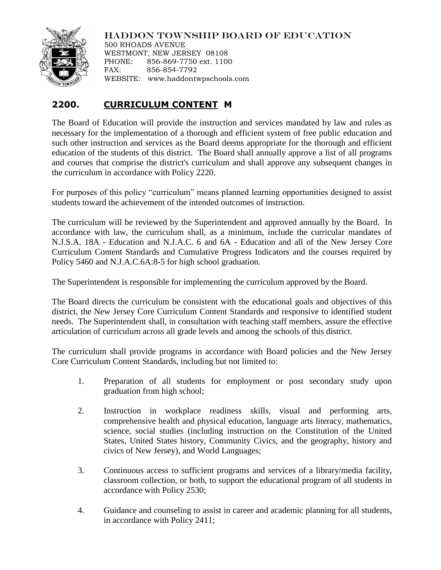

## HADDON TOWNSHIP BOARD OF EDUCATION

500 RHOADS AVENUE WESTMONT, NEW JERSEY 08108 PHONE: 856-869-7750 ext. 1100 FAX: 856-854-7792 WEBSITE: www.haddontwpschools.com

## **2200. CURRICULUM CONTENT M**

The Board of Education will provide the instruction and services mandated by law and rules as necessary for the implementation of a thorough and efficient system of free public education and such other instruction and services as the Board deems appropriate for the thorough and efficient education of the students of this district. The Board shall annually approve a list of all programs and courses that comprise the district's curriculum and shall approve any subsequent changes in the curriculum in accordance with Policy 2220.

For purposes of this policy "curriculum" means planned learning opportunities designed to assist students toward the achievement of the intended outcomes of instruction.

The curriculum will be reviewed by the Superintendent and approved annually by the Board. In accordance with law, the curriculum shall, as a minimum, include the curricular mandates of N.J.S.A. 18A - Education and N.J.A.C. 6 and 6A - Education and all of the New Jersey Core Curriculum Content Standards and Cumulative Progress Indicators and the courses required by Policy 5460 and N.J.A.C.6A:8-5 for high school graduation.

The Superintendent is responsible for implementing the curriculum approved by the Board.

The Board directs the curriculum be consistent with the educational goals and objectives of this district, the New Jersey Core Curriculum Content Standards and responsive to identified student needs. The Superintendent shall, in consultation with teaching staff members, assure the effective articulation of curriculum across all grade levels and among the schools of this district.

The curriculum shall provide programs in accordance with Board policies and the New Jersey Core Curriculum Content Standards, including but not limited to:

- 1. Preparation of all students for employment or post secondary study upon graduation from high school;
- 2. Instruction in workplace readiness skills, visual and performing arts, comprehensive health and physical education, language arts literacy, mathematics, science, social studies (including instruction on the Constitution of the United States, United States history, Community Civics, and the geography, history and civics of New Jersey), and World Languages;
- 3. Continuous access to sufficient programs and services of a library/media facility, classroom collection, or both, to support the educational program of all students in accordance with Policy 2530;
- 4. Guidance and counseling to assist in career and academic planning for all students, in accordance with Policy 2411;